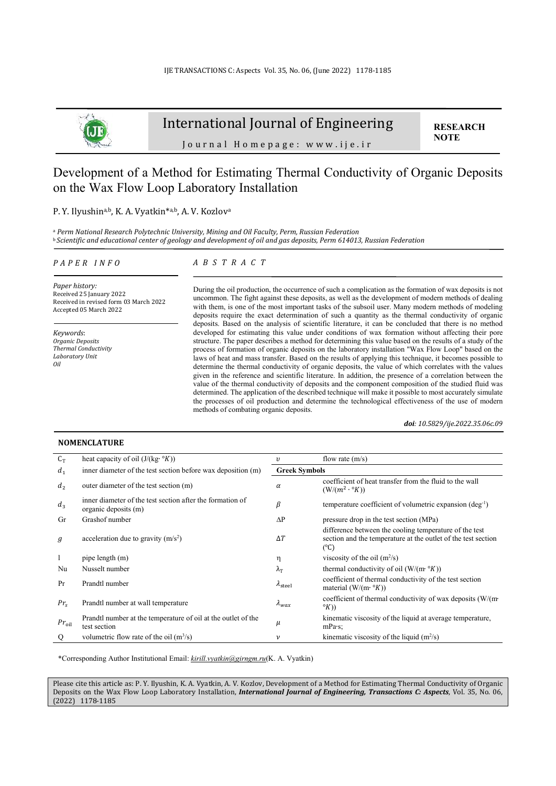

# International Journal of Engineering

**RESEARCH NOTE** 

Journal Homepage: www.ije.ir

# Development of a Method for Estimating Thermal Conductivity of Organic Deposits on the Wax Flow Loop Laboratory Installation

#### P. Y. Ilyushina,b, K. A. Vyatkin<sup>\*a,b</sup>, A. V. Kozlova

a  *Perm National Research Polytechnic University, Mining and Oil Faculty, Perm, Russian Federation*  <sup>b</sup>*Scientific and educational center of geology and development of oil and gas deposits, Perm 614013, Russian Federation* 

#### *P A P E R I N F O*

### *A B S T R A C T*

*Paper history:*  Received 25 January 2022 Received in revised form 03 March 2022 Accepted 05 March 2022

*Keywords*: *Organic Deposits Thermal Conductivity Laboratory Unit Oil* 

During the oil production, the occurrence of such a complication as the formation of wax deposits is not uncommon. The fight against these deposits, as well as the development of modern methods of dealing with them, is one of the most important tasks of the subsoil user. Many modern methods of modeling deposits require the exact determination of such a quantity as the thermal conductivity of organic deposits. Based on the analysis of scientific literature, it can be concluded that there is no method developed for estimating this value under conditions of wax formation without affecting their pore structure. The paper describes a method for determining this value based on the results of a study of the process of formation of organic deposits on the laboratory installation "Wax Flow Loop" based on the laws of heat and mass transfer. Based on the results of applying this technique, it becomes possible to determine the thermal conductivity of organic deposits, the value of which correlates with the values given in the reference and scientific literature. In addition, the presence of a correlation between the value of the thermal conductivity of deposits and the component composition of the studied fluid was determined. The application of the described technique will make it possible to most accurately simulate the processes of oil production and determine the technological effectiveness of the use of modern methods of combating organic deposits.

*doi: 10.5829/ije.2022.35.06c.09*

| $C_T$      | heat capacity of oil $(J/(kg \cdot {}^{\circ}K))$                                 | υ                     | flow rate $(m/s)$                                                                                                                        |
|------------|-----------------------------------------------------------------------------------|-----------------------|------------------------------------------------------------------------------------------------------------------------------------------|
| $d_1$      | inner diameter of the test section before wax deposition (m)                      | <b>Greek Symbols</b>  |                                                                                                                                          |
| $d_2$      | outer diameter of the test section (m)                                            | $\alpha$              | coefficient of heat transfer from the fluid to the wall<br>$(W/(m^2 \cdot {}^{\circ}K))$                                                 |
| $d_3$      | inner diameter of the test section after the formation of<br>organic deposits (m) | β                     | temperature coefficient of volumetric expansion $(\text{deg}^{-1})$                                                                      |
| Gr         | Grashof number                                                                    | $\Delta P$            | pressure drop in the test section (MPa)                                                                                                  |
| g          | acceleration due to gravity $(m/s2)$                                              | $\Delta T$            | difference between the cooling temperature of the test<br>section and the temperature at the outlet of the test section<br>$(^{\circ}C)$ |
| 1          | pipe length (m)                                                                   | η                     | viscosity of the oil $(m^2/s)$                                                                                                           |
| Nu         | Nusselt number                                                                    | $\lambda_{\rm T}$     | thermal conductivity of oil $(W/(m \cdot {}^{\circ}K))$                                                                                  |
| Pr         | Prandtl number                                                                    | $\lambda_{\rm steel}$ | coefficient of thermal conductivity of the test section<br>material (W/(m· $\mathcal{C}(K)$ )                                            |
| $Pr_{S}$   | Prandtl number at wall temperature                                                | $\lambda_{max}$       | coefficient of thermal conductivity of wax deposits $(W/(m \cdot$<br>$\mathcal{O}(K))$                                                   |
| $Pr_{oil}$ | Prandtl number at the temperature of oil at the outlet of the<br>test section     | μ                     | kinematic viscosity of the liquid at average temperature,<br>mPa·s;                                                                      |
| Q          | volumetric flow rate of the oil $(m^3/s)$                                         | ν                     | kinematic viscosity of the liquid $(m^2/s)$                                                                                              |

\*Corresponding Author Institutional Email: *kirill.vyatkin@girngm.ru*(K. A. Vyatkin)

Please cite this article as: P. Y. Ilyushin, K. A. Vyatkin, A. V. Kozlov, Development of a Method for Estimating Thermal Conductivity of Organic Deposits on the Wax Flow Loop Laboratory Installation, *International Journal of Engineering, Transactions C: Aspects*, Vol. 35, No. 06, (2022) 1178-1185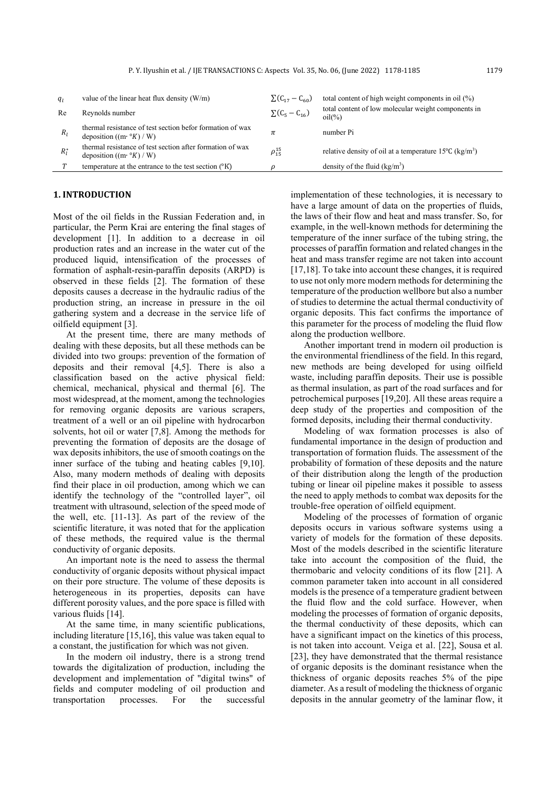| $q_i$   | value of the linear heat flux density $(W/m)$                                                       | $\sum (C_{17} - C_{60})$ | total content of high weight components in oil (%)                           |
|---------|-----------------------------------------------------------------------------------------------------|--------------------------|------------------------------------------------------------------------------|
| Re      | Reynolds number                                                                                     | $\Sigma(C_5 - C_{16})$   | total content of low molecular weight components in<br>$oil(\%)$             |
| $R_{I}$ | thermal resistance of test section befor formation of wax<br>deposition $((m \cdot {}^{\circ}K)/W)$ | π                        | number Pi                                                                    |
| $R_I^*$ | thermal resistance of test section after formation of wax<br>deposition $((m \cdot {}^{\circ}K)/W)$ | $\rho_{15}^{15}$         | relative density of oil at a temperature 15 $\degree$ C (kg/m <sup>3</sup> ) |
|         | temperature at the entrance to the test section $({}^{\circ}K)$                                     |                          | density of the fluid $(kg/m3)$                                               |

## **1. INTRODUCTION**

Most of the oil fields in the Russian Federation and, in particular, the Perm Krai are entering the final stages of development [1]. In addition to a decrease in oil production rates and an increase in the water cut of the produced liquid, intensification of the processes of formation of asphalt-resin-paraffin deposits (ARPD) is observed in these fields [2]. The formation of these deposits causes a decrease in the hydraulic radius of the production string, an increase in pressure in the oil gathering system and a decrease in the service life of oilfield equipment [3].

At the present time, there are many methods of dealing with these deposits, but all these methods can be divided into two groups: prevention of the formation of deposits and their removal [4,5]. There is also a classification based on the active physical field: chemical, mechanical, physical and thermal [6]. The most widespread, at the moment, among the technologies for removing organic deposits are various scrapers, treatment of a well or an oil pipeline with hydrocarbon solvents, hot oil or water [7,8]. Among the methods for preventing the formation of deposits are the dosage of waх deposits inhibitors, the use of smooth coatings on the inner surface of the tubing and heating cables [9,10]. Also, many modern methods of dealing with deposits find their place in oil production, among which we can identify the technology of the "controlled layer", oil treatment with ultrasound, selection of the speed mode of the well, etc. [11-13]. As part of the review of the scientific literature, it was noted that for the application of these methods, the required value is the thermal conductivity of organic deposits.

An important note is the need to assess the thermal conductivity of organic deposits without physical impact on their pore structure. The volume of these deposits is heterogeneous in its properties, deposits can have different porosity values, and the pore space is filled with various fluids [14].

At the same time, in many scientific publications, including literature [15,16], this value was taken equal to a constant, the justification for which was not given.

In the modern oil industry, there is a strong trend towards the digitalization of production, including the development and implementation of "digital twins" of fields and computer modeling of oil production and transportation processes. For the successful implementation of these technologies, it is necessary to have a large amount of data on the properties of fluids, the laws of their flow and heat and mass transfer. So, for example, in the well-known methods for determining the temperature of the inner surface of the tubing string, the processes of paraffin formation and related changes in the heat and mass transfer regime are not taken into account [17,18]. To take into account these changes, it is required to use not only more modern methods for determining the temperature of the production wellbore but also a number of studies to determine the actual thermal conductivity of organic deposits. This fact confirms the importance of this parameter for the process of modeling the fluid flow along the production wellbore.

Another important trend in modern oil production is the environmental friendliness of the field. In this regard, new methods are being developed for using oilfield waste, including paraffin deposits. Their use is possible as thermal insulation, as part of the road surfaces and for petrochemical purposes [19,20]. All these areas require a deep study of the properties and composition of the formed deposits, including their thermal conductivity.

Modeling of wax formation processes is also of fundamental importance in the design of production and transportation of formation fluids. The assessment of the probability of formation of these deposits and the nature of their distribution along the length of the production tubing or linear oil pipeline makes it possible to assess the need to apply methods to combat waх deposits for the trouble-free operation of oilfield equipment.

Modeling of the processes of formation of organic deposits occurs in various software systems using a variety of models for the formation of these deposits. Most of the models described in the scientific literature take into account the composition of the fluid, the thermobaric and velocity conditions of its flow [21]. A common parameter taken into account in all considered models is the presence of a temperature gradient between the fluid flow and the cold surface. However, when modeling the processes of formation of organic deposits, the thermal conductivity of these deposits, which can have a significant impact on the kinetics of this process, is not taken into account. Veiga et al. [22], Sousa et al. [23], they have demonstrated that the thermal resistance of organic deposits is the dominant resistance when the thickness of organic deposits reaches 5% of the pipe diameter. As a result of modeling the thickness of organic deposits in the annular geometry of the laminar flow, it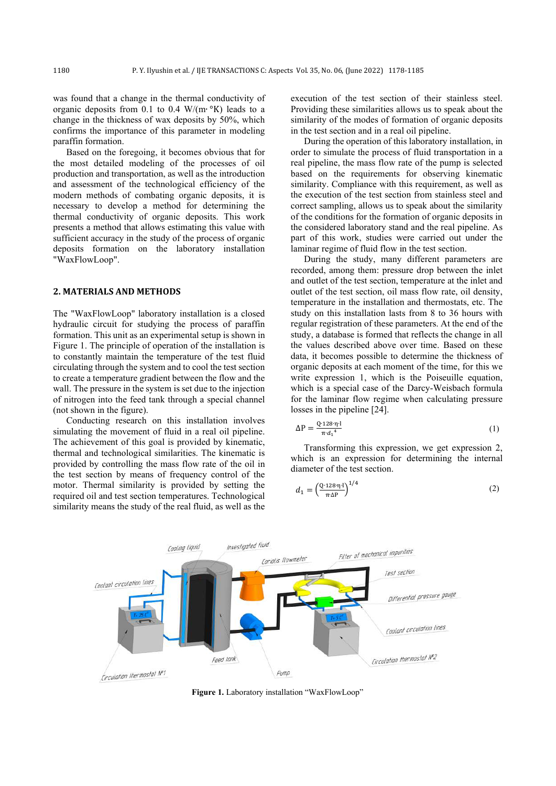was found that a change in the thermal conductivity of organic deposits from 0.1 to 0.4 W/(m∙ °K) leads to a change in the thickness of waх deposits by 50%, which confirms the importance of this parameter in modeling paraffin formation.

Based on the foregoing, it becomes obvious that for the most detailed modeling of the processes of oil production and transportation, as well as the introduction and assessment of the technological efficiency of the modern methods of combating organic deposits, it is necessary to develop a method for determining the thermal conductivity of organic deposits. This work presents a method that allows estimating this value with sufficient accuracy in the study of the process of organic deposits formation on the laboratory installation "WaxFlowLoop".

### **2. MATERIALS AND METHODS**

The "WaxFlowLoop" laboratory installation is a closed hydraulic circuit for studying the process of paraffin formation. This unit as an experimental setup is shown in Figure 1. The principle of operation of the installation is to constantly maintain the temperature of the test fluid circulating through the system and to cool the test section to create a temperature gradient between the flow and the wall. The pressure in the system is set due to the injection of nitrogen into the feed tank through a special channel (not shown in the figure).

Conducting research on this installation involves simulating the movement of fluid in a real oil pipeline. The achievement of this goal is provided by kinematic, thermal and technological similarities. The kinematic is provided by controlling the mass flow rate of the oil in the test section by means of frequency control of the motor. Thermal similarity is provided by setting the required oil and test section temperatures. Technological similarity means the study of the real fluid, as well as the execution of the test section of their stainless steel. Providing these similarities allows us to speak about the similarity of the modes of formation of organic deposits in the test section and in a real oil pipeline.

During the operation of this laboratory installation, in order to simulate the process of fluid transportation in a real pipeline, the mass flow rate of the pump is selected based on the requirements for observing kinematic similarity. Compliance with this requirement, as well as the execution of the test section from stainless steel and correct sampling, allows us to speak about the similarity of the conditions for the formation of organic deposits in the considered laboratory stand and the real pipeline. As part of this work, studies were carried out under the laminar regime of fluid flow in the test section.

During the study, many different parameters are recorded, among them: pressure drop between the inlet and outlet of the test section, temperature at the inlet and outlet of the test section, oil mass flow rate, oil density, temperature in the installation and thermostats, etc. The study on this installation lasts from 8 to 36 hours with regular registration of these parameters. At the end of the study, a database is formed that reflects the change in all the values described above over time. Based on these data, it becomes possible to determine the thickness of organic deposits at each moment of the time, for this we write expression 1, which is the Poiseuille equation, which is a special case of the Darcy-Weisbach formula for the laminar flow regime when calculating pressure losses in the pipeline [24].

$$
\Delta P = \frac{Q \cdot 128 \cdot \eta \cdot l}{\pi \cdot d_1^4} \tag{1}
$$

Transforming this expression, we get expression 2, which is an expression for determining the internal diameter of the test section.

$$
d_1 = \left(\frac{Q \cdot 128 \cdot \eta \cdot 1}{\pi \cdot \Delta P}\right)^{1/4} \tag{2}
$$



**Figure 1.** Laboratory installation "WaxFlowLoop"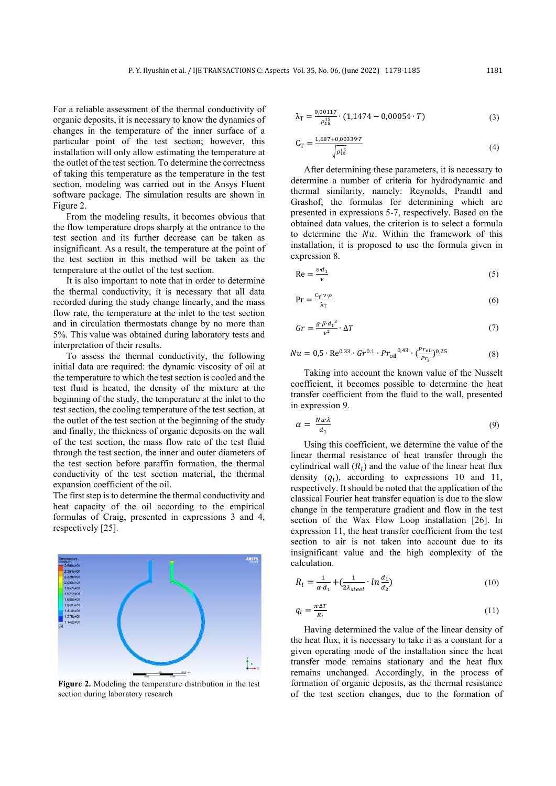For a reliable assessment of the thermal conductivity of organic deposits, it is necessary to know the dynamics of changes in the temperature of the inner surface of a particular point of the test section; however, this installation will only allow estimating the temperature at the outlet of the test section. To determine the correctness of taking this temperature as the temperature in the test section, modeling was carried out in the Ansys Fluent software package. The simulation results are shown in Figure 2.

From the modeling results, it becomes obvious that the flow temperature drops sharply at the entrance to the test section and its further decrease can be taken as insignificant. As a result, the temperature at the point of the test section in this method will be taken as the temperature at the outlet of the test section.

It is also important to note that in order to determine the thermal conductivity, it is necessary that all data recorded during the study change linearly, and the mass flow rate, the temperature at the inlet to the test section and in circulation thermostats change by no more than 5%. This value was obtained during laboratory tests and interpretation of their results.

To assess the thermal conductivity, the following initial data are required: the dynamic viscosity of oil at the temperature to which the test section is cooled and the test fluid is heated, the density of the mixture at the beginning of the study, the temperature at the inlet to the test section, the cooling temperature of the test section, at the outlet of the test section at the beginning of the study and finally, the thickness of organic deposits on the wall of the test section, the mass flow rate of the test fluid through the test section, the inner and outer diameters of the test section before paraffin formation, the thermal conductivity of the test section material, the thermal expansion coefficient of the oil.

The first step is to determine the thermal conductivity and heat capacity of the oil according to the empirical formulas of Craig, presented in expressions 3 and 4, respectively [25].



**Figure 2.** Modeling the temperature distribution in the test section during laboratory research

$$
\lambda_{\rm T} = \frac{0.00117}{\rho_{15}^{15}} \cdot (1,1474 - 0,00054 \cdot T) \tag{3}
$$

$$
C_{T} = \frac{1.687 + 0.00339 \cdot T}{\sqrt{\rho_{15}^{15}}} \tag{4}
$$

After determining these parameters, it is necessary to determine a number of criteria for hydrodynamic and thermal similarity, namely: Reynolds, Prandtl and Grashof, the formulas for determining which are presented in expressions 5-7, respectively. Based on the obtained data values, the criterion is to select a formula to determine the  $Nu$  Within the framework of this installation, it is proposed to use the formula given in expression 8.

$$
\text{Re} = \frac{v \cdot d_1}{v} \tag{5}
$$

$$
Pr = \frac{C_T \cdot \nu \cdot \rho}{\lambda_T} \tag{6}
$$

$$
Gr = \frac{g \cdot \beta \cdot d_1^3}{v^2} \cdot \Delta T \tag{7}
$$

$$
Nu = 0.5 \cdot \text{Re}^{0.33} \cdot Gr^{0.1} \cdot Pr_{\text{oil}}^{0.43} \cdot \left(\frac{Pr_{\text{oil}}}{Pr_s}\right)^{0.25}
$$
 (8)

Taking into account the known value of the Nusselt coefficient, it becomes possible to determine the heat transfer coefficient from the fluid to the wall, presented in expression 9.

$$
\alpha = \frac{Nu \cdot \lambda}{d_1} \tag{9}
$$

Using this coefficient, we determine the value of the linear thermal resistance of heat transfer through the cylindrical wall  $(R_l)$  and the value of the linear heat flux density  $(q_l)$ , according to expressions 10 and 11, respectively. It should be noted that the application of the classical Fourier heat transfer equation is due to the slow change in the temperature gradient and flow in the test section of the Wax Flow Loop installation [26]. In expression 11, the heat transfer coefficient from the test section to air is not taken into account due to its insignificant value and the high complexity of the calculation.

$$
R_l = \frac{1}{\alpha \cdot d_1} + \left(\frac{1}{2\lambda_{steel}} \cdot \ln \frac{d_1}{d_2}\right) \tag{10}
$$

$$
q_l = \frac{\pi \Delta T}{R_l} \tag{11}
$$

Having determined the value of the linear density of the heat flux, it is necessary to take it as a constant for a given operating mode of the installation since the heat transfer mode remains stationary and the heat flux remains unchanged. Accordingly, in the process of formation of organic deposits, as the thermal resistance of the test section changes, due to the formation of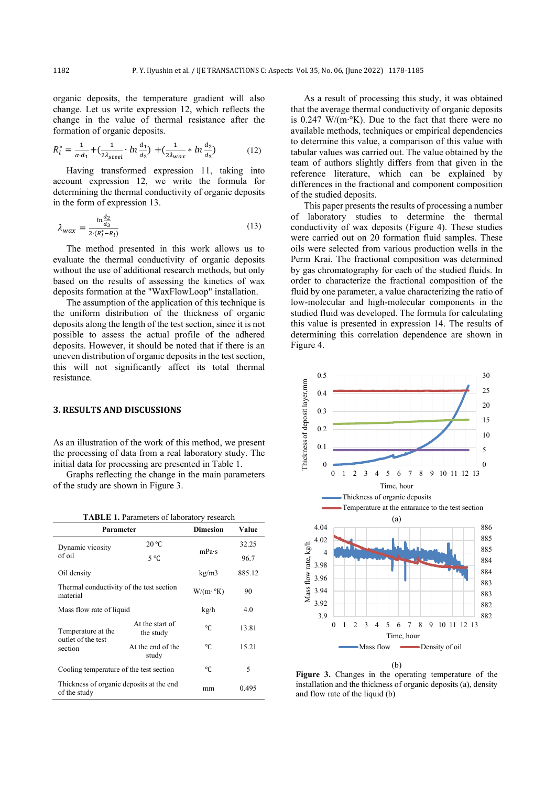organic deposits, the temperature gradient will also change. Let us write expression 12, which reflects the change in the value of thermal resistance after the formation of organic deposits.

$$
R_l^* = \frac{1}{\alpha \cdot d_1} + \left(\frac{1}{2\lambda_{steel}} \cdot \ln \frac{d_1}{d_2}\right) + \left(\frac{1}{2\lambda_{wax}} * \ln \frac{d_2}{d_3}\right) \tag{12}
$$

Having transformed expression 11, taking into account expression 12, we write the formula for determining the thermal conductivity of organic deposits in the form of expression 13.

$$
\lambda_{\text{wax}} = \frac{\ln \frac{d_2}{d_3}}{2 \cdot (R_l^* - R_l)}\tag{13}
$$

The method presented in this work allows us to evaluate the thermal conductivity of organic deposits without the use of additional research methods, but only based on the results of assessing the kinetics of waх deposits formation at the "WaxFlowLoop" installation.

The assumption of the application of this technique is the uniform distribution of the thickness of organic deposits along the length of the test section, since it is not possible to assess the actual profile of the adhered deposits. However, it should be noted that if there is an uneven distribution of organic deposits in the test section, this will not significantly affect its total thermal resistance.

#### **3. RESULTS AND DISCUSSIONS**

As an illustration of the work of this method, we present the processing of data from a real laboratory study. The initial data for processing are presented in Table 1.

Graphs reflecting the change in the main parameters of the study are shown in Figure 3.

| <b>TABLE 1. Parameters of laboratory research</b>         |                              |                         |        |  |  |  |
|-----------------------------------------------------------|------------------------------|-------------------------|--------|--|--|--|
| Parameter                                                 | <b>Dimesion</b>              | Value                   |        |  |  |  |
| Dynamic vicosity                                          | 20 °C                        | mPa·s                   | 32.25  |  |  |  |
| of oil                                                    | $5^{\circ}C$                 |                         | 96.7   |  |  |  |
| Oil density                                               |                              | kg/m3                   | 885.12 |  |  |  |
| Thermal conductivity of the test section<br>material      |                              | $W/(m \cdot \text{°K})$ | 90     |  |  |  |
| Mass flow rate of liquid                                  |                              | kg/h                    | 4.0    |  |  |  |
| Temperature at the<br>outlet of the test                  | At the start of<br>the study | °C                      | 13.81  |  |  |  |
| section                                                   | At the end of the<br>study   | °C                      | 15.21  |  |  |  |
| Cooling temperature of the test section                   |                              | °C                      | 5      |  |  |  |
| Thickness of organic deposits at the end.<br>of the study |                              | mm                      | 0.495  |  |  |  |

As a result of processing this study, it was obtained that the average thermal conductivity of organic deposits is 0.247 W/(m∙°K). Due to the fact that there were no available methods, techniques or empirical dependencies to determine this value, a comparison of this value with tabular values was carried out. The value obtained by the team of authors slightly differs from that given in the reference literature, which can be explained by differences in the fractional and component composition of the studied deposits.

This paper presents the results of processing a number of laboratory studies to determine the thermal conductivity of waх deposits (Figure 4). These studies were carried out on 20 formation fluid samples. These oils were selected from various production wells in the Perm Krai. The fractional composition was determined by gas chromatography for each of the studied fluids. In order to characterize the fractional composition of the fluid by one parameter, a value characterizing the ratio of low-molecular and high-molecular components in the studied fluid was developed. The formula for calculating this value is presented in expression 14. The results of determining this correlation dependence are shown in Figure 4.



**Figure 3.** Changes in the operating temperature of the installation and the thickness of organic deposits (a), density and flow rate of the liquid (b)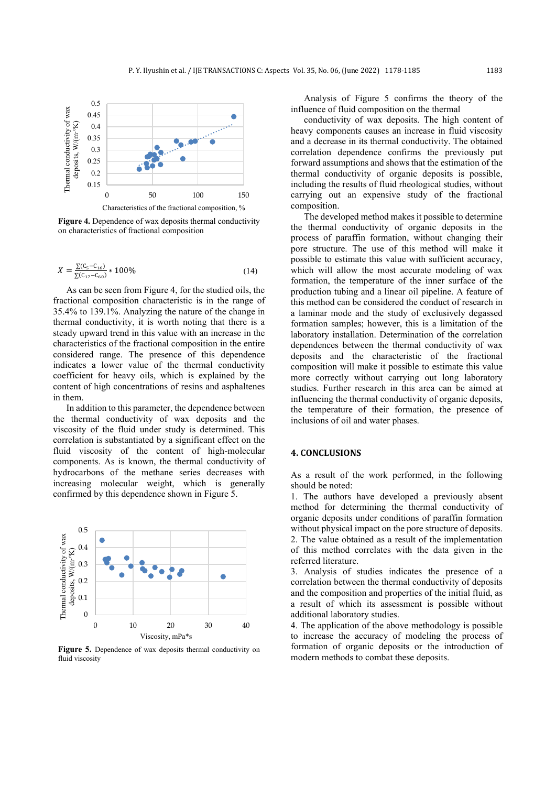

**Figure 4.** Dependence of waх deposits thermal conductivity on characteristics of fractional composition

$$
X = \frac{\Sigma (C_5 - C_{16})}{\Sigma (C_{17} - C_{60})} * 100\%
$$
\n(14)

As can be seen from Figure 4, for the studied oils, the fractional composition characteristic is in the range of 35.4% to 139.1%. Analyzing the nature of the change in thermal conductivity, it is worth noting that there is a steady upward trend in this value with an increase in the characteristics of the fractional composition in the entire considered range. The presence of this dependence indicates a lower value of the thermal conductivity coefficient for heavy oils, which is explained by the content of high concentrations of resins and asphaltenes in them.

In addition to this parameter, the dependence between the thermal conductivity of wax deposits and the viscosity of the fluid under study is determined. This correlation is substantiated by a significant effect on the fluid viscosity of the content of high-molecular components. As is known, the thermal conductivity of hydrocarbons of the methane series decreases with increasing molecular weight, which is generally confirmed by this dependence shown in Figure 5.



**Figure 5.** Dependence of waх deposits thermal conductivity on fluid viscosity

Analysis of Figure 5 confirms the theory of the influence of fluid composition on the thermal

conductivity of waх deposits. The high content of heavy components causes an increase in fluid viscosity and a decrease in its thermal conductivity. The obtained correlation dependence confirms the previously put forward assumptions and shows that the estimation of the thermal conductivity of organic deposits is possible, including the results of fluid rheological studies, without carrying out an expensive study of the fractional composition.

The developed method makes it possible to determine the thermal conductivity of organic deposits in the process of paraffin formation, without changing their pore structure. The use of this method will make it possible to estimate this value with sufficient accuracy, which will allow the most accurate modeling of wax formation, the temperature of the inner surface of the production tubing and a linear oil pipeline. A feature of this method can be considered the conduct of research in a laminar mode and the study of exclusively degassed formation samples; however, this is a limitation of the laboratory installation. Determination of the correlation dependences between the thermal conductivity of waх deposits and the characteristic of the fractional composition will make it possible to estimate this value more correctly without carrying out long laboratory studies. Further research in this area can be aimed at influencing the thermal conductivity of organic deposits, the temperature of their formation, the presence of inclusions of oil and water phases.

### **4. CONCLUSIONS**

As a result of the work performed, in the following should be noted:

1. The authors have developed a previously absent method for determining the thermal conductivity of organic deposits under conditions of paraffin formation without physical impact on the pore structure of deposits. 2. The value obtained as a result of the implementation of this method correlates with the data given in the referred literature.

3. Analysis of studies indicates the presence of a correlation between the thermal conductivity of deposits and the composition and properties of the initial fluid, as a result of which its assessment is possible without additional laboratory studies.

4. The application of the above methodology is possible to increase the accuracy of modeling the process of formation of organic deposits or the introduction of modern methods to combat these deposits.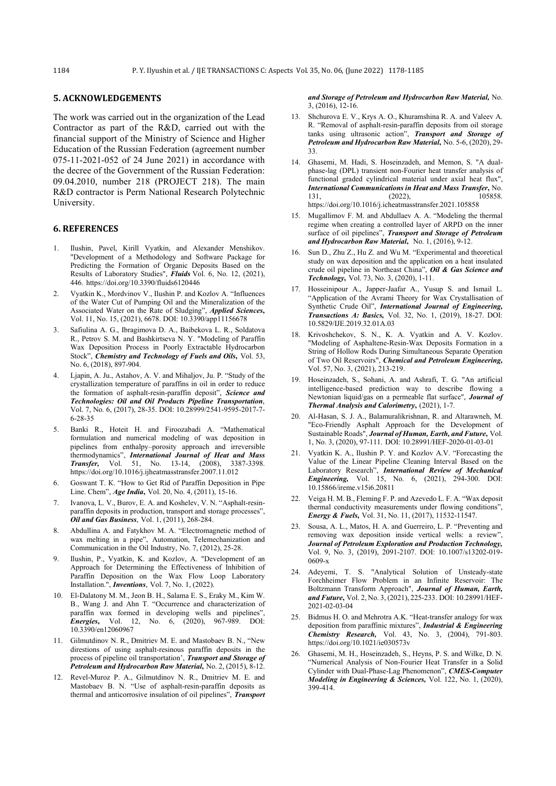#### **5. ACKNOWLEDGEMENTS**

The work was carried out in the organization of the Lead Contractor as part of the R&D, carried out with the financial support of the Ministry of Science and Higher Education of the Russian Federation (agreement number 075-11-2021-052 of 24 June 2021) in accordance with the decree of the Government of the Russian Federation: 09.04.2010, number 218 (PROJECT 218). The main R&D contractor is Perm National Research Polytechnic University.

### **6. REFERENCES**

- 1. Ilushin, Pavel, Kirill Vyatkin, and Alexander Menshikov. "Development of a Methodology and Software Package for Predicting the Formation of Organic Deposits Based on the Results of Laboratory Studies", *Fluids* Vol. 6, No. 12, (2021), 446. https://doi.org/10.3390/fluids6120446
- 2. Vyatkin K., Mordvinov V., Ilushin P. and Kozlov A. "Influences of the Water Cut of Pumping Oil and the Mineralization of the Associated Water on the Rate of Sludging", *Applied Sciences***,** Vol. 11, No. 15, (2021), 6678. DOI: 10.3390/app11156678
- 3. Safiulina A. G., Ibragimova D. A., Baibekova L. R., Soldatova R., Petrov S. M. and Bashkirtseva N. Y. "Modeling of Paraffin Wax Deposition Process in Poorly Extractable Hydrocarbon Stock", *Chemistry and Technology of Fuels and Oils***,** Vol. 53, No. 6, (2018), 897-904.
- 4. Ljapin, A. Ju., Astahov, A. V. and Mihaljov, Ju. P. "Study of the crystallization temperature of paraffins in oil in order to reduce the formation of asphalt-resin-paraffin deposit", *Science and Technologies: Oil and Oil Products Pipeline Transportation*, Vol. 7, No. 6, (2017), 28-35. DOI: 10.28999/2541-9595-2017-7- 6-28-35
- 5. Banki R., Hoteit H. and Firoozabadi A. "Mathematical formulation and numerical modeling of wax deposition in pipelines from enthalpy–porosity approach and irreversible thermodynamics", *International Journal of Heat and Mass Transfer,* Vol. 51, No. 13-14, (2008), 3387-3398. https://doi.org/10.1016/j.ijheatmasstransfer.2007.11.012
- 6. Goswant Т. К. "How to Get Rid of Paraffin Deposition in Pipe Line. Chem", *Age India***,** Vol. 20, No. 4, (2011), 15-16.
- 7. Ivanova, L. V., Burov, E. A. and Koshelev, V. N. "Asphalt-resinparaffin deposits in production, transport and storage processes", *Oil and Gas Business*, Vol. 1, (2011), 268-284.
- 8. Abdullina A. and Fatykhov M. A. "Electromagnetic method of wax melting in a pipe", Automation, Telemechanization and Communication in the Oil Industry, No. 7, (2012), 25-28.
- 9. Ilushin, P., Vyatkin, K. and Kozlov, A. "Development of an Approach for Determining the Effectiveness of Inhibition of Paraffin Deposition on the Wax Flow Loop Laboratory Installation.", *Inventions*, Vol. 7, No. 1, (2022).
- 10. El-Dalatony M. M., Jeon B. H., Salama E. S., Eraky M., Kim W. B., Wang J. and Ahn T. "Occurrence and characterization of paraffin wax formed in developing wells and pipelines", *Energies***,** Vol. 12, No. 6, (2020), 967-989. DOI: 10.3390/en12060967
- 11. Gilmutdinov N. R., Dmitriev M. E. and Mastobaev B. N., "New direstions of using asphalt-resinous paraffin deposits in the process of pipeline oil transportation', *Transport and Storage of Petroleum and Hydrocarbon Raw Material***,** No. 2, (2015), 8-12.
- 12. Revel-Muroz P. A., Gilmutdinov N. R., Dmitriev M. E. and Mastobaev B. N. "Use of asphalt-resin-paraffin deposits as thermal and anticorrosive insulation of oil pipelines", *Transport*

*and Storage of Petroleum and Hydrocarbon Raw Material,* No. 3, (2016), 12-16.

- 13. Shchurova E. V., Krys A. O., Khuramshina R. A. and Valeev A. R. "Removal of asphalt-resin-paraffin deposits from oil storage tanks using ultrasonic action", *Transport and Storage of Petroleum and Hydrocarbon Raw Material***,** No. 5-6, (2020), 29- 33.
- 14. Ghasemi, M. Hadi, S. Hoseinzadeh, and Memon, S. "A dualphase-lag (DPL) transient non-Fourier heat transfer analysis of functional graded cylindrical material under axial heat flux", *International Communications in Heat and Mass Transfer***,** No. 131, (2022), 105858. https://doi.org/10.1016/j.icheatmasstransfer.2021.105858
- 15. Mugallimov F. M. and Abdullaev A. A. "Modeling the thermal regime when creating a controlled layer of ARPD on the inner surface of oil pipelines", *Transport and Storage of Petroleum and Hydrocarbon Raw Material***,** No. 1, (2016), 9-12.
- 16. Sun D., Zhu Z., Hu Z. and Wu M. "Experimental and theoretical study on wax deposition and the application on a heat insulated crude oil pipeline in Northeast China", *Oil & Gas Science and Technology***,** Vol. 73, No. 3, (2020), 1-11.
- 17. Hosseinipour A., Japper-Jaafar A., Yusup S. and Ismail L. "Application of the Avrami Theory for Wax Crystallisation of Synthetic Crude Oil", *International Journal of Engineering, Transactions A: Basics,* Vol. 32, No. 1, (2019), 18-27. DOI: 10.5829/IJE.2019.32.01A.03
- 18. Krivoshchekov, S. N., K. A. Vyatkin and A. V. Kozlov. "Modeling of Asphaltene-Resin-Wax Deposits Formation in a String of Hollow Rods During Simultaneous Separate Operation of Two Oil Reservoirs", *Chemical and Petroleum Engineering,* Vol. 57, No. 3, (2021), 213-219.
- 19. Hoseinzadeh, S., Sohani, A. and Ashrafi, T. G. "An artificial intelligence-based prediction way to describe flowing a Newtonian liquid/gas on a permeable flat surface", *Journal of Thermal Analysis and Calorimetry***,** (2021), 1-7.
- Al-Hasan, S. J. A., Balamuralikrishnan, R. and Altarawneh, M. "Eco-Friendly Asphalt Approach for the Development of Sustainable Roads", *Journal of Human, Earth, and Future***,** Vol. 1, No. 3, (2020), 97-111. DOI: 10.28991/HEF-2020-01-03-01
- Vyatkin K. A., Ilushin P. Y. and Kozlov A.V. "Forecasting the Value of the Linear Pipeline Cleaning Interval Based on the Laboratory Research", *International Review of Mechanical Engineering,* Vol. 15, No. 6, (2021), 294-300. DOI: 10.15866/ireme.v15i6.20811
- 22. Veiga H. M. B., Fleming F. P. and Azevedo L. F. A. "Wax deposit thermal conductivity measurements under flowing conditions", *Energy & Fuels***,** Vol. 31, No. 11, (2017), 11532-11547.
- 23. Sousa, A. L., Matos, H. A. and Guerreiro, L. P. "Preventing and removing wax deposition inside vertical wells: a review", *Journal of Petroleum Exploration and Production Technology,* Vol. 9, No. 3, (2019), 2091-2107. DOI: 10.1007/s13202-019- 0609-x
- 24. Adeyemi, T. S. "Analytical Solution of Unsteady-state Forchheimer Flow Problem in an Infinite Reservoir: The Boltzmann Transform Approach", *Journal of Human, Earth, and Future***,** Vol. 2, No. 3, (2021), 225-233. DOI: 10.28991/HEF-2021-02-03-04
- 25. Bidmus H. O. and Mehrotra A.K. "Heat-transfer analogy for wax deposition from paraffinic mixtures", *Industrial & Engineering Chemistry Research,* Vol. 43, No. 3, (2004), 791-803. https://doi.org/10.1021/ie030573v
- 26. Ghasemi, M. H., Hoseinzadeh, S., Heyns, P. S. and Wilke, D. N. "Numerical Analysis of Non-Fourier Heat Transfer in a Solid Cylinder with Dual-Phase-Lag Phenomenon", *CMES-Computer Modeling in Engineering & Sciences,* Vol. 122, No. 1, (2020), 399-414.